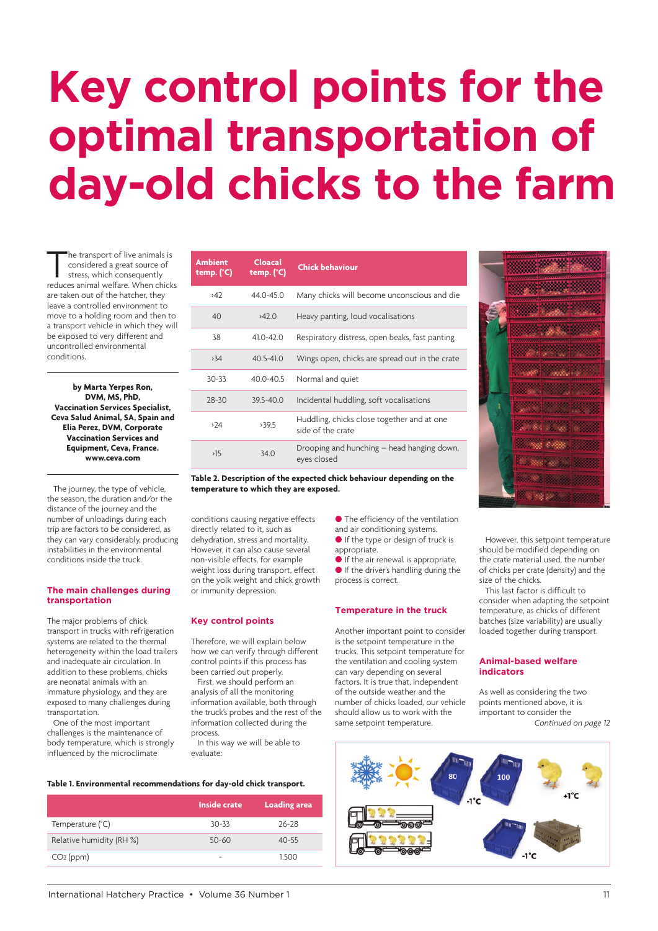# **Key control points for the optimal transportation of day-old chicks to the farm**

The transport of live animals is<br>considered a great source of<br>stress, which consequently<br>reduces animal welfare. When chicks considered a great source of stress, which consequently are taken out of the hatcher, they leave a controlled environment to move to a holding room and then to a transport vehicle in which they will be exposed to very different and uncontrolled environmental conditions.

**by Marta Yerpes Ron, DVM, MS, PhD, Vaccination Services Specialist, Ceva Salud Animal, SA, Spain and Elia Perez, DVM, Corporate Vaccination Services and Equipment, Ceva, France. www.ceva.com**

The journey, the type of vehicle, the season, the duration and/or the distance o[f the journey and](http://www.ceva.com) the number of unloadings during each trip are factors to be considered, as they can vary considerably, producing instabilities in the environmental conditions inside the truck.

## **The main challenges during transportation**

The major problems of chick transport in trucks with refrigeration systems are related to the thermal heterogeneity within the load trailers and inadequate air circulation. In addition to these problems, chicks are neonatal animals with an immature physiology, and they are exposed to many challenges during transportation.

One of the most important challenges is the maintenance of body temperature, which is strongly influenced by the microclimate

| Ambient<br>temp. $(^{\circ}C)$ | Cloacal<br>temp. $(^{\circ}C)$ | <b>Chick behaviour</b>                                          |  |
|--------------------------------|--------------------------------|-----------------------------------------------------------------|--|
| 242                            | 44.0-45.0                      | Many chicks will become unconscious and die                     |  |
| 40                             | 242.0                          | Heavy panting, loud vocalisations                               |  |
| 38                             | 410-420                        | Respiratory distress, open beaks, fast panting                  |  |
| >34                            | $40.5 - 41.0$                  | Wings open, chicks are spread out in the crate                  |  |
| $30 - 33$                      | $40.0 - 40.5$                  | Normal and quiet                                                |  |
| $28 - 30$                      | $39.5 - 40.0$                  | Incidental huddling, soft vocalisations                         |  |
| 224                            | , 395                          | Huddling, chicks close together and at one<br>side of the crate |  |
| >15                            | 34.0                           | Drooping and hunching – head hanging down,<br>eyes closed       |  |

**Table 2. Description of the expected chick behaviour depending on the temperature to which they are exposed.**

conditions causing negative effects directly related to it, such as dehydration, stress and mortality. However, it can also cause several non-visible effects, for example weight loss during transport, effect on the yolk weight and chick growth or immunity depression.

# **Key control points**

Therefore, we will explain below how we can verify through different control points if this process has been carried out properly.

First, we should perform an analysis of all the monitoring information available, both through the truck's probes and the rest of the information collected during the process.

In this way we will be able to evaluate:

#### **Table 1. Environmental recommendations for day-old chick transport.**

|                          | Inside crate | <b>Loading area</b> |
|--------------------------|--------------|---------------------|
| Temperature (°C)         | $30-33$      | $76-78$             |
| Relative humidity (RH %) | 50-60        | $40 - 55$           |
| $CO2$ (ppm)              |              | 1.500               |

- **The efficiency of the ventilation**
- and air conditioning systems.
- If the type or design of truck is appropriate.
- If the air renewal is appropriate. If the driver's handling during the process is correct.

## **Temperature in the truck**

Another important point to consider is the setpoint temperature in the trucks. This setpoint temperature for the ventilation and cooling system can vary depending on several factors. It is true that, independent of the outside weather and the number of chicks loaded, our vehicle should allow us to work with the same setpoint temperature.





However, this setpoint temperature should be modified depending on the crate material used, the number of chicks per crate (density) and the size of the chicks.

This last factor is difficult to consider when adapting the setpoint temperature, as chicks of different batches (size variability) are usually loaded together during transport.

#### **Animal-based welfare indicators**

As well as considering the two points mentioned above, it is important to consider the *Continued on page 12*